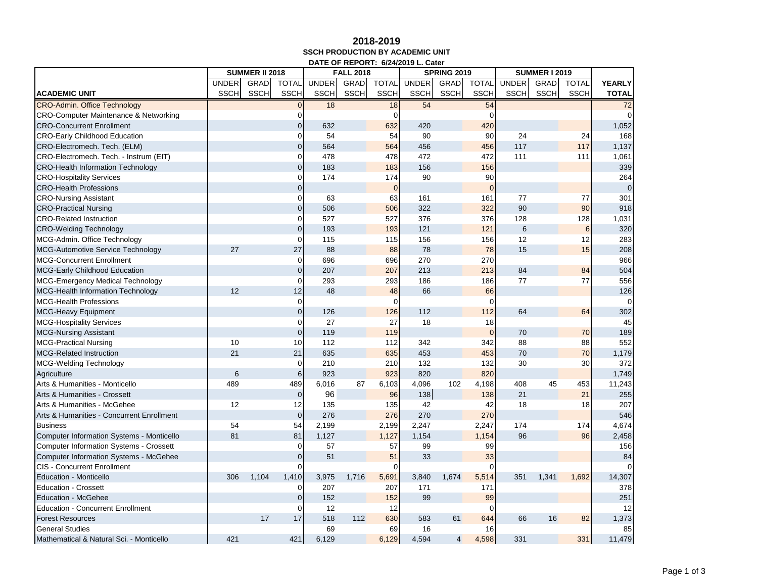## **2018-2019 SSCH PRODUCTION BY ACADEMIC UNIT DATE OF REPORT: 6/24/2019 L. Cater**

|                                                  |              | <b>SUMMER II 2018</b><br><b>FALL 2018</b><br><b>SPRING 2019</b><br><b>SUMMER I 2019</b> |                |              |             |                |              |             |              |              |             |              |               |
|--------------------------------------------------|--------------|-----------------------------------------------------------------------------------------|----------------|--------------|-------------|----------------|--------------|-------------|--------------|--------------|-------------|--------------|---------------|
|                                                  | <b>UNDER</b> | GRAD                                                                                    | <b>TOTAL</b>   | <b>UNDER</b> | GRAD        | <b>TOTAL</b>   | <b>UNDER</b> | GRAD        | <b>TOTAL</b> | <b>UNDER</b> | <b>GRAD</b> | <b>TOTAL</b> | <b>YEARLY</b> |
| <b>ACADEMIC UNIT</b>                             | <b>SSCH</b>  | <b>SSCH</b>                                                                             | <b>SSCH</b>    | <b>SSCH</b>  | <b>SSCH</b> | <b>SSCH</b>    | <b>SSCH</b>  | <b>SSCH</b> | <b>SSCH</b>  | <b>SSCH</b>  | <b>SSCH</b> | <b>SSCH</b>  | <b>TOTAL</b>  |
| <b>CRO-Admin. Office Technology</b>              |              |                                                                                         | $\overline{0}$ | 18           |             | 18             | 54           |             | 54           |              |             |              | 72            |
| <b>CRO-Computer Maintenance &amp; Networking</b> |              |                                                                                         | $\mathbf 0$    |              |             | 0              |              |             |              |              |             |              | $\Omega$      |
| <b>CRO-Concurrent Enrollment</b>                 |              |                                                                                         | $\mathbf 0$    | 632          |             | 632            | 420          |             | 420          |              |             |              | 1,052         |
| <b>CRO-Early Childhood Education</b>             |              |                                                                                         | $\mathbf 0$    | 54           |             | 54             | 90           |             | 90           | 24           |             | 24           | 168           |
| CRO-Electromech. Tech. (ELM)                     |              |                                                                                         | $\overline{0}$ | 564          |             | 564            | 456          |             | 456          | 117          |             | 117          | 1,137         |
| CRO-Electromech. Tech. - Instrum (EIT)           |              |                                                                                         | $\overline{0}$ | 478          |             | 478            | 472          |             | 472          | 111          |             | 111          | 1,061         |
| <b>CRO-Health Information Technology</b>         |              |                                                                                         | $\mathbf 0$    | 183          |             | 183            | 156          |             | 156          |              |             |              | 339           |
| <b>CRO-Hospitality Services</b>                  |              |                                                                                         | $\mathbf 0$    | 174          |             | 174            | 90           |             | 90           |              |             |              | 264           |
| <b>CRO-Health Professions</b>                    |              |                                                                                         | $\overline{0}$ |              |             | $\overline{0}$ |              |             | $\Omega$     |              |             |              | $\mathbf 0$   |
| <b>CRO-Nursing Assistant</b>                     |              |                                                                                         | $\Omega$       | 63           |             | 63             | 161          |             | 161          | 77           |             | 77           | 301           |
| <b>CRO-Practical Nursing</b>                     |              |                                                                                         | $\overline{0}$ | 506          |             | 506            | 322          |             | 322          | 90           |             | 90           | 918           |
| <b>CRO-Related Instruction</b>                   |              |                                                                                         | $\mathbf{O}$   | 527          |             | 527            | 376          |             | 376          | 128          |             | 128          | 1,031         |
| <b>CRO-Welding Technology</b>                    |              |                                                                                         | $\mathbf 0$    | 193          |             | 193            | 121          |             | 121          | 6            |             | 6            | 320           |
| MCG-Admin. Office Technology                     |              |                                                                                         | $\overline{0}$ | 115          |             | 115            | 156          |             | 156          | 12           |             | 12           | 283           |
| <b>MCG-Automotive Service Technology</b>         | 27           |                                                                                         | 27             | 88           |             | 88             | 78           |             | 78           | 15           |             | 15           | 208           |
| <b>MCG-Concurrent Enrollment</b>                 |              |                                                                                         | $\mathbf{O}$   | 696          |             | 696            | 270          |             | 270          |              |             |              | 966           |
| <b>MCG-Early Childhood Education</b>             |              |                                                                                         | $\pmb{0}$      | 207          |             | 207            | 213          |             | 213          | 84           |             | 84           | 504           |
| MCG-Emergency Medical Technology                 |              |                                                                                         | $\mathbf 0$    | 293          |             | 293            | 186          |             | 186          | 77           |             | 77           | 556           |
| <b>MCG-Health Information Technology</b>         | 12           |                                                                                         | 12             | 48           |             | 48             | 66           |             | 66           |              |             |              | 126           |
| <b>MCG-Health Professions</b>                    |              |                                                                                         | $\mathbf{O}$   |              |             | $\Omega$       |              |             | $\Omega$     |              |             |              | $\Omega$      |
| <b>MCG-Heavy Equipment</b>                       |              |                                                                                         | $\mathbf 0$    | 126          |             | 126            | 112          |             | 112          | 64           |             | 64           | 302           |
| <b>MCG-Hospitality Services</b>                  |              |                                                                                         | $\mathbf 0$    | 27           |             | 27             | 18           |             | 18           |              |             |              | 45            |
| <b>MCG-Nursing Assistant</b>                     |              |                                                                                         | $\mathbf{0}$   | 119          |             | 119            |              |             | $\Omega$     | 70           |             | 70           | 189           |
| <b>MCG-Practical Nursing</b>                     | 10           |                                                                                         | 10             | 112          |             | 112            | 342          |             | 342          | 88           |             | 88           | 552           |
| <b>MCG-Related Instruction</b>                   | 21           |                                                                                         | 21             | 635          |             | 635            | 453          |             | 453          | 70           |             | 70           | 1,179         |
| <b>MCG-Welding Technology</b>                    |              |                                                                                         | $\mathbf 0$    | 210          |             | 210            | 132          |             | 132          | 30           |             | 30           | 372           |
| Agriculture                                      | 6            |                                                                                         | $\,$ 6 $\,$    | 923          |             | 923            | 820          |             | 820          |              |             |              | 1,749         |
| Arts & Humanities - Monticello                   | 489          |                                                                                         | 489            | 6,016        | 87          | 6,103          | 4,096        | 102         | 4,198        | 408          | 45          | 453          | 11,243        |
| Arts & Humanities - Crossett                     |              |                                                                                         | $\overline{0}$ | 96           |             | 96             | 138          |             | 138          | 21           |             | 21           | 255           |
| Arts & Humanities - McGehee                      | 12           |                                                                                         | 12             | 135          |             | 135            | 42           |             | 42           | 18           |             | 18           | 207           |
| Arts & Humanities - Concurrent Enrollment        |              |                                                                                         | $\mathbf 0$    | 276          |             | 276            | 270          |             | 270          |              |             |              | 546           |
| <b>Business</b>                                  | 54           |                                                                                         | 54             | 2,199        |             | 2,199          | 2,247        |             | 2,247        | 174          |             | 174          | 4,674         |
| Computer Information Systems - Monticello        | 81           |                                                                                         | 81             | 1,127        |             | 1,127          | 1.154        |             | 1,154        | 96           |             | 96           | 2,458         |
| <b>Computer Information Systems - Crossett</b>   |              |                                                                                         | $\mathbf 0$    | 57           |             | 57             | 99           |             | 99           |              |             |              | 156           |
| Computer Information Systems - McGehee           |              |                                                                                         | $\pmb{0}$      | 51           |             | 51             | 33           |             | 33           |              |             |              | 84            |
| <b>CIS - Concurrent Enrollment</b>               |              |                                                                                         | $\Omega$       |              |             | $\Omega$       |              |             | ∩            |              |             |              | $\Omega$      |
| <b>Education - Monticello</b>                    | 306          | 1,104                                                                                   | 1,410          | 3,975        | 1,716       | 5,691          | 3,840        | 1,674       | 5,514        | 351          | 1,341       | 1,692        | 14,307        |
| <b>Education - Crossett</b>                      |              |                                                                                         | $\overline{0}$ | 207          |             | 207            | 171          |             | 171          |              |             |              | 378           |
| <b>Education - McGehee</b>                       |              |                                                                                         | $\mathbf 0$    | 152          |             | 152            | 99           |             | 99           |              |             |              | 251           |
| <b>Education - Concurrent Enrollment</b>         |              |                                                                                         | $\mathbf 0$    | 12           |             | 12             |              |             | U            |              |             |              | 12            |
| <b>Forest Resources</b>                          |              | 17                                                                                      | 17             | 518          | 112         | 630            | 583          | 61          | 644          | 66           | 16          | 82           | 1,373         |
| <b>General Studies</b>                           |              |                                                                                         |                | 69           |             | 69             | 16           |             | 16           |              |             |              | 85            |
| Mathematical & Natural Sci. - Monticello         | 421          |                                                                                         | 421            | 6,129        |             | 6,129          | 4,594        | 4           | 4,598        | 331          |             | 331          | 11,479        |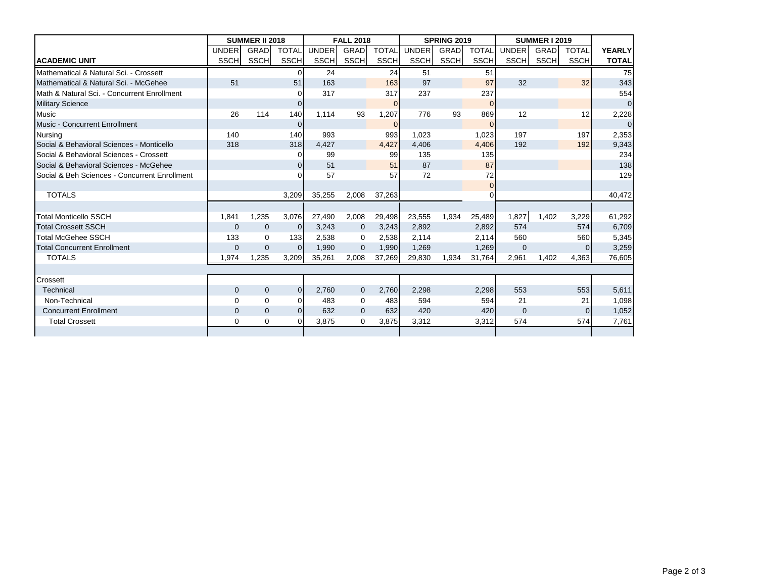|                                               |              | <b>SUMMER II 2018</b> |                |              | <b>FALL 2018</b> |              |             | <b>SPRING 2019</b> |                | <b>SUMMER I 2019</b> |             |              |                |
|-----------------------------------------------|--------------|-----------------------|----------------|--------------|------------------|--------------|-------------|--------------------|----------------|----------------------|-------------|--------------|----------------|
|                                               | <b>UNDER</b> | <b>GRAD</b>           | <b>TOTAL</b>   | <b>UNDER</b> | <b>GRAD</b>      | <b>TOTAL</b> | UNDER       | GRAD               | <b>TOTAL</b>   | <b>UNDER</b>         | <b>GRAD</b> | <b>TOTAL</b> | <b>YEARLY</b>  |
| <b>ACADEMIC UNIT</b>                          | SSCHI        | SSCHI                 | <b>SSCH</b>    | <b>SSCH</b>  | SSCH             | <b>SSCH</b>  | <b>SSCH</b> | SSCH               | <b>SSCH</b>    | SSCH                 | <b>SSCH</b> | <b>SSCH</b>  | <b>TOTAL</b>   |
| Mathematical & Natural Sci. - Crossett        |              |                       |                | 24           |                  | 24           | 51          |                    | 51             |                      |             |              | 75             |
| Mathematical & Natural Sci. - McGehee         | 51           |                       | 51             | 163          |                  | 163          | 97          |                    | 97             | 32                   |             | 32           | 343            |
| Math & Natural Sci. - Concurrent Enrollment   |              |                       | $\Omega$       | 317          |                  | 317          | 237         |                    | 237            |                      |             |              | 554            |
| <b>Military Science</b>                       |              |                       | $\Omega$       |              |                  | $\Omega$     |             |                    | $\overline{0}$ |                      |             |              | $\mathbf 0$    |
| <b>Music</b>                                  | 26           | 114                   | 140            | 1.114        | 93               | 1,207        | 776         | 93                 | 869            | 12                   |             | 12           | 2,228          |
| <b>Music - Concurrent Enrollment</b>          |              |                       | $\overline{0}$ |              |                  | $\mathbf{0}$ |             |                    | $\overline{0}$ |                      |             |              | $\overline{0}$ |
| <b>Nursing</b>                                | 140          |                       | 140            | 993          |                  | 993          | 1,023       |                    | 1,023          | 197                  |             | 197          | 2,353          |
| Social & Behavioral Sciences - Monticello     | 318          |                       | 318            | 4,427        |                  | 4,427        | 4,406       |                    | 4,406          | 192                  |             | 192          | 9,343          |
| Social & Behavioral Sciences - Crossett       |              |                       | $\Omega$       | 99           |                  | 99           | 135         |                    | 135            |                      |             |              | 234            |
| Social & Behavioral Sciences - McGehee        |              |                       | $\Omega$       | 51           |                  | 51           | 87          |                    | 87             |                      |             |              | 138            |
| Social & Beh Sciences - Concurrent Enrollment |              |                       |                | 57           |                  | 57           | 72          |                    | 72             |                      |             |              | 129            |
|                                               |              |                       |                |              |                  |              |             |                    | $\Omega$       |                      |             |              |                |
| <b>TOTALS</b>                                 |              |                       | 3,209          | 35,255       | 2,008            | 37,263       |             |                    |                |                      |             |              | 40.472         |
|                                               |              |                       |                |              |                  |              |             |                    |                |                      |             |              |                |
| <b>Total Monticello SSCH</b>                  | 1,841        | 1,235                 | 3,076          | 27,490       | 2,008            | 29,498       | 23,555      | 1,934              | 25,489         | 1,827                | 1,402       | 3,229        | 61,292         |
| <b>Total Crossett SSCH</b>                    | $\mathbf{0}$ | $\mathbf 0$           | $\overline{0}$ | 3,243        | $\mathbf{0}$     | 3,243        | 2,892       |                    | 2,892          | 574                  |             | 574          | 6,709          |
| Total McGehee SSCH                            | 133          | $\Omega$              | 133            | 2,538        | 0                | 2,538        | 2,114       |                    | 2,114          | 560                  |             | 560          | 5,345          |
| <b>Total Concurrent Enrollment</b>            | $\mathbf{0}$ | $\Omega$              | $\Omega$       | 1.990        | $\mathbf{0}$     | 1,990        | 1,269       |                    | 1,269          | $\mathbf 0$          |             | 0            | 3,259          |
| <b>TOTALS</b>                                 | 1,974        | 1,235                 | 3,209          | 35,261       | 2,008            | 37,269       | 29,830      | 1,934              | 31,764         | 2,961                | 1,402       | 4,363        | 76,605         |
|                                               |              |                       |                |              |                  |              |             |                    |                |                      |             |              |                |
| Crossett                                      |              |                       |                |              |                  |              |             |                    |                |                      |             |              |                |
| <b>Technical</b>                              | $\mathbf{0}$ | $\mathbf{0}$          | $\overline{0}$ | 2,760        | $\mathbf{0}$     | 2,760        | 2,298       |                    | 2,298          | 553                  |             | 553          | 5,611          |
| Non-Technical                                 | $\Omega$     | $\Omega$              | $\Omega$       | 483          | $\Omega$         | 483          | 594         |                    | 594            | 21                   |             | 21           | 1,098          |
| <b>Concurrent Enrollment</b>                  | $\mathbf{0}$ | $\mathbf{0}$          | $\Omega$       | 632          | $\mathbf{0}$     | 632          | 420         |                    | 420            | $\mathbf{0}$         |             | $\Omega$     | 1,052          |
| <b>Total Crossett</b>                         | $\Omega$     | $\mathbf 0$           | $\Omega$       | 3,875        | 0                | 3,875        | 3,312       |                    | 3,312          | 574                  |             | 574          | 7,761          |
|                                               |              |                       |                |              |                  |              |             |                    |                |                      |             |              |                |